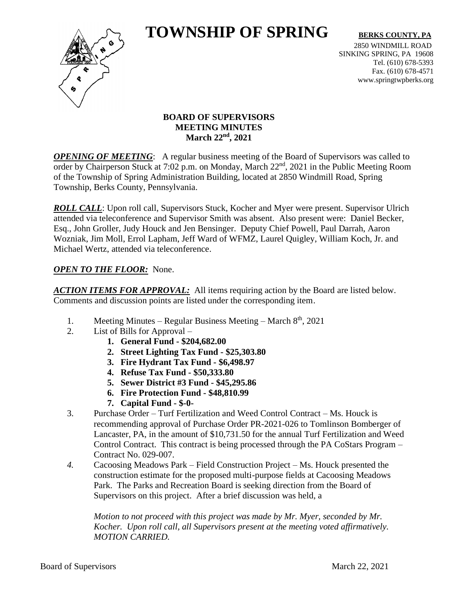# **TOWNSHIP OF SPRING** BERKS COUNTY, PA



2850 WINDMILL ROAD SINKING SPRING, PA 19608 Tel. (610) 678-5393 Fax. (610) 678-4571 www.springtwpberks.org

## **BOARD OF SUPERVISORS MEETING MINUTES March 22nd , 2021**

*OPENING OF MEETING*: A regular business meeting of the Board of Supervisors was called to order by Chairperson Stuck at 7:02 p.m. on Monday, March 22<sup>nd</sup>, 2021 in the Public Meeting Room of the Township of Spring Administration Building, located at 2850 Windmill Road, Spring Township, Berks County, Pennsylvania.

*ROLL CALL*: Upon roll call, Supervisors Stuck, Kocher and Myer were present. Supervisor Ulrich attended via teleconference and Supervisor Smith was absent. Also present were: Daniel Becker, Esq., John Groller, Judy Houck and Jen Bensinger. Deputy Chief Powell, Paul Darrah, Aaron Wozniak, Jim Moll, Errol Lapham, Jeff Ward of WFMZ, Laurel Quigley, William Koch, Jr. and Michael Wertz, attended via teleconference.

# *OPEN TO THE FLOOR:* None.

*ACTION ITEMS FOR APPROVAL:* All items requiring action by the Board are listed below. Comments and discussion points are listed under the corresponding item.

- 1. Meeting Minutes Regular Business Meeting March 8<sup>th</sup>, 2021
- 2. List of Bills for Approval
	- **1. General Fund - \$204,682.00**
	- **2. Street Lighting Tax Fund - \$25,303.80**
	- **3. Fire Hydrant Tax Fund - \$6,498.97**
	- **4. Refuse Tax Fund - \$50,333.80**
	- **5. Sewer District #3 Fund - \$45,295.86**
	- **6. Fire Protection Fund - \$48,810.99**
	- **7. Capital Fund - \$-0-**
- 3. Purchase Order Turf Fertilization and Weed Control Contract Ms. Houck is recommending approval of Purchase Order PR-2021-026 to Tomlinson Bomberger of Lancaster, PA, in the amount of \$10,731.50 for the annual Turf Fertilization and Weed Control Contract. This contract is being processed through the PA CoStars Program – Contract No. 029-007.
- *4.* Cacoosing Meadows Park Field Construction Project Ms. Houck presented the construction estimate for the proposed multi-purpose fields at Cacoosing Meadows Park. The Parks and Recreation Board is seeking direction from the Board of Supervisors on this project. After a brief discussion was held, a

*Motion to not proceed with this project was made by Mr. Myer, seconded by Mr. Kocher. Upon roll call, all Supervisors present at the meeting voted affirmatively. MOTION CARRIED.*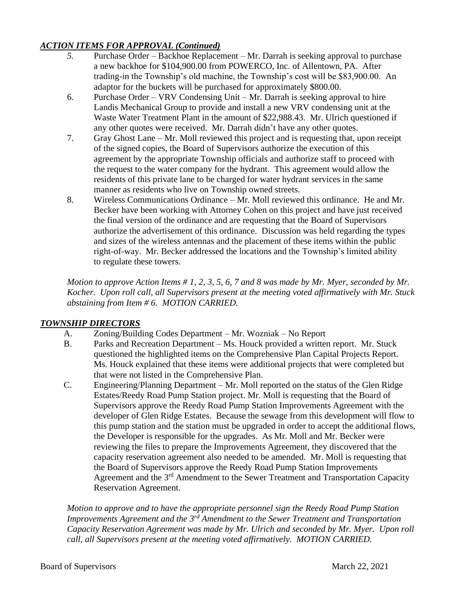## *ACTION ITEMS FOR APPROVAL (Continued)*

- *5.* Purchase Order Backhoe Replacement Mr. Darrah is seeking approval to purchase a new backhoe for \$104,900.00 from POWERCO, Inc. of Allentown, PA. After trading-in the Township's old machine, the Township's cost will be \$83,900.00. An adaptor for the buckets will be purchased for approximately \$800.00.
- 6. Purchase Order VRV Condensing Unit Mr. Darrah is seeking approval to hire Landis Mechanical Group to provide and install a new VRV condensing unit at the Waste Water Treatment Plant in the amount of \$22,988.43. Mr. Ulrich questioned if any other quotes were received. Mr. Darrah didn't have any other quotes.
- 7. Gray Ghost Lane Mr. Moll reviewed this project and is requesting that, upon receipt of the signed copies, the Board of Supervisors authorize the execution of this agreement by the appropriate Township officials and authorize staff to proceed with the request to the water company for the hydrant. This agreement would allow the residents of this private lane to be charged for water hydrant services in the same manner as residents who live on Township owned streets.
- 8. Wireless Communications Ordinance Mr. Moll reviewed this ordinance. He and Mr. Becker have been working with Attorney Cohen on this project and have just received the final version of the ordinance and are requesting that the Board of Supervisors authorize the advertisement of this ordinance. Discussion was held regarding the types and sizes of the wireless antennas and the placement of these items within the public right-of-way. Mr. Becker addressed the locations and the Township's limited ability to regulate these towers.

*Motion to approve Action Items # 1, 2, 3, 5, 6, 7 and 8 was made by Mr. Myer, seconded by Mr. Kocher. Upon roll call, all Supervisors present at the meeting voted affirmatively with Mr. Stuck abstaining from Item # 6. MOTION CARRIED.*

# *TOWNSHIP DIRECTORS*

- A. Zoning/Building Codes Department Mr. Wozniak No Report
- B. Parks and Recreation Department Ms. Houck provided a written report. Mr. Stuck questioned the highlighted items on the Comprehensive Plan Capital Projects Report. Ms. Houck explained that these items were additional projects that were completed but that were not listed in the Comprehensive Plan.
- C. Engineering/Planning Department Mr. Moll reported on the status of the Glen Ridge Estates/Reedy Road Pump Station project. Mr. Moll is requesting that the Board of Supervisors approve the Reedy Road Pump Station Improvements Agreement with the developer of Glen Ridge Estates. Because the sewage from this development will flow to this pump station and the station must be upgraded in order to accept the additional flows, the Developer is responsible for the upgrades. As Mr. Moll and Mr. Becker were reviewing the files to prepare the Improvements Agreement, they discovered that the capacity reservation agreement also needed to be amended. Mr. Moll is requesting that the Board of Supervisors approve the Reedy Road Pump Station Improvements Agreement and the 3<sup>rd</sup> Amendment to the Sewer Treatment and Transportation Capacity Reservation Agreement.

*Motion to approve and to have the appropriate personnel sign the Reedy Road Pump Station Improvements Agreement and the 3rd Amendment to the Sewer Treatment and Transportation Capacity Reservation Agreement was made by Mr. Ulrich and seconded by Mr. Myer. Upon roll call, all Supervisors present at the meeting voted affirmatively. MOTION CARRIED.*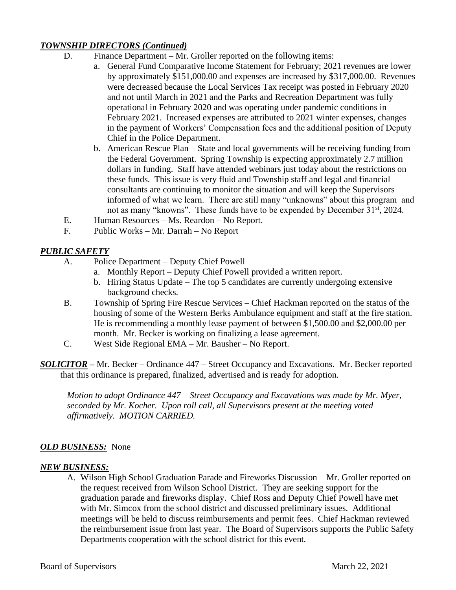## *TOWNSHIP DIRECTORS (Continued)*

- D. Finance Department Mr. Groller reported on the following items:
	- a. General Fund Comparative Income Statement for February; 2021 revenues are lower by approximately \$151,000.00 and expenses are increased by \$317,000.00. Revenues were decreased because the Local Services Tax receipt was posted in February 2020 and not until March in 2021 and the Parks and Recreation Department was fully operational in February 2020 and was operating under pandemic conditions in February 2021. Increased expenses are attributed to 2021 winter expenses, changes in the payment of Workers' Compensation fees and the additional position of Deputy Chief in the Police Department.
	- b. American Rescue Plan State and local governments will be receiving funding from the Federal Government. Spring Township is expecting approximately 2.7 million dollars in funding. Staff have attended webinars just today about the restrictions on these funds. This issue is very fluid and Township staff and legal and financial consultants are continuing to monitor the situation and will keep the Supervisors informed of what we learn. There are still many "unknowns" about this program and not as many "knowns". These funds have to be expended by December 31<sup>st</sup>, 2024.
- E. Human Resources Ms. Reardon No Report.
- F. Public Works Mr. Darrah No Report

## *PUBLIC SAFETY*

- A. Police Department Deputy Chief Powell
	- a. Monthly Report Deputy Chief Powell provided a written report.
	- b. Hiring Status Update The top 5 candidates are currently undergoing extensive background checks.
- B. Township of Spring Fire Rescue Services Chief Hackman reported on the status of the housing of some of the Western Berks Ambulance equipment and staff at the fire station. He is recommending a monthly lease payment of between \$1,500.00 and \$2,000.00 per month. Mr. Becker is working on finalizing a lease agreement.
- C. West Side Regional EMA Mr. Bausher No Report.

*SOLICITOR –* Mr. Becker – Ordinance 447 – Street Occupancy and Excavations. Mr. Becker reported that this ordinance is prepared, finalized, advertised and is ready for adoption.

*Motion to adopt Ordinance 447 – Street Occupancy and Excavations was made by Mr. Myer, seconded by Mr. Kocher. Upon roll call, all Supervisors present at the meeting voted affirmatively. MOTION CARRIED.*

### *OLD BUSINESS:* None

### *NEW BUSINESS:*

A. Wilson High School Graduation Parade and Fireworks Discussion – Mr. Groller reported on the request received from Wilson School District. They are seeking support for the graduation parade and fireworks display. Chief Ross and Deputy Chief Powell have met with Mr. Simcox from the school district and discussed preliminary issues. Additional meetings will be held to discuss reimbursements and permit fees. Chief Hackman reviewed the reimbursement issue from last year. The Board of Supervisors supports the Public Safety Departments cooperation with the school district for this event.